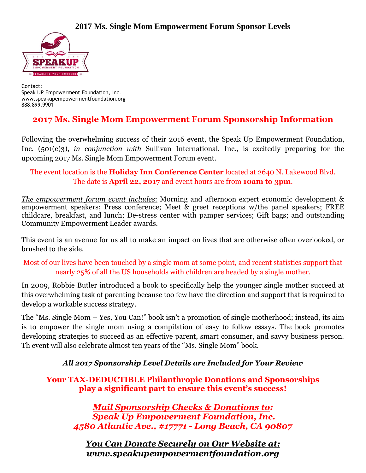

Contact: Speak UP Empowerment Foundation, Inc. www.speakupempowermentfoundation.org 888.899.9901

# **2017 Ms. Single Mom Empowerment Forum Sponsorship Information**

Following the overwhelming success of their 2016 event, the Speak Up Empowerment Foundation, Inc. (501(c)3), *in conjunction with* Sullivan International, Inc., is excitedly preparing for the upcoming 2017 Ms. Single Mom Empowerment Forum event.

#### The event location is the **Holiday Inn Conference Center** located at 2640 N. Lakewood Blvd. The date is **April 22, 2017** and event hours are from **10am to 3pm**.

*The empowerment forum event includes*: Morning and afternoon expert economic development & empowerment speakers; Press conference; Meet & greet receptions w/the panel speakers; FREE childcare, breakfast, and lunch; De-stress center with pamper services; Gift bags; and outstanding Community Empowerment Leader awards.

This event is an avenue for us all to make an impact on lives that are otherwise often overlooked, or brushed to the side.

Most of our lives have been touched by a single mom at some point, and recent statistics support that nearly 25% of all the US households with children are headed by a single mother.

In 2009, Robbie Butler introduced a book to specifically help the younger single mother succeed at this overwhelming task of parenting because too few have the direction and support that is required to develop a workable success strategy.

The "Ms. Single Mom – Yes, You Can!" book isn't a promotion of single motherhood; instead, its aim is to empower the single mom using a compilation of easy to follow essays. The book promotes developing strategies to succeed as an effective parent, smart consumer, and savvy business person. Th event will also celebrate almost ten years of the "Ms. Single Mom" book.

*All 2017 Sponsorship Level Details are Included for Your Review*

**Your TAX-DEDUCTIBLE Philanthropic Donations and Sponsorships play a significant part to ensure this event's success!**

*Mail Sponsorship Checks & Donations to: Speak Up Empowerment Foundation, Inc. 4580 Atlantic Ave., #17771 - Long Beach, CA 90807*

*You Can Donate Securely on Our Website at: www.speakupempowermentfoundation.org*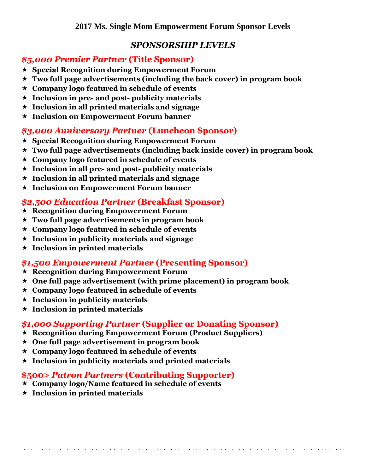#### *SPONSORSHIP LEVELS*

#### *\$5,000 Premier Partner* **(Title Sponsor)**

- **Special Recognition during Empowerment Forum**
- **Two full page advertisements (including the back cover) in program book**
- **Company logo featured in schedule of events**
- **Inclusion in pre- and post- publicity materials**
- **Inclusion in all printed materials and signage**
- **Inclusion on Empowerment Forum banner**

# *\$3,000 Anniversary Partner* **(Luncheon Sponsor)**

- **Special Recognition during Empowerment Forum**
- **Two full page advertisements (including back inside cover) in program book**
- **Company logo featured in schedule of events**
- **Inclusion in all pre- and post- publicity materials**
- **Inclusion in all printed materials and signage**
- **Inclusion on Empowerment Forum banner**

# *\$2,500 Education Partner* **(Breakfast Sponsor)**

- **Recognition during Empowerment Forum**
- **Two full page advertisements in program book**
- **Company logo featured in schedule of events**
- **Inclusion in publicity materials and signage**
- **Inclusion in printed materials**

# *\$1,500 Empowerment Partner* **(Presenting Sponsor)**

- **Recognition during Empowerment Forum**
- **One full page advertisement (with prime placement) in program book**
- **Company logo featured in schedule of events**
- **Inclusion in publicity materials**
- **Inclusion in printed materials**

# *\$1,000 Supporting Partner* **(Supplier or Donating Sponsor)**

- **Recognition during Empowerment Forum (Product Suppliers)**
- **One full page advertisement in program book**
- **Company logo featured in schedule of events**
- **Inclusion in publicity materials and printed materials**

# **\$500>** *Patron Partners* **(Contributing Supporter)**

- **Company logo/Name featured in schedule of events**
- **Inclusion in printed materials**